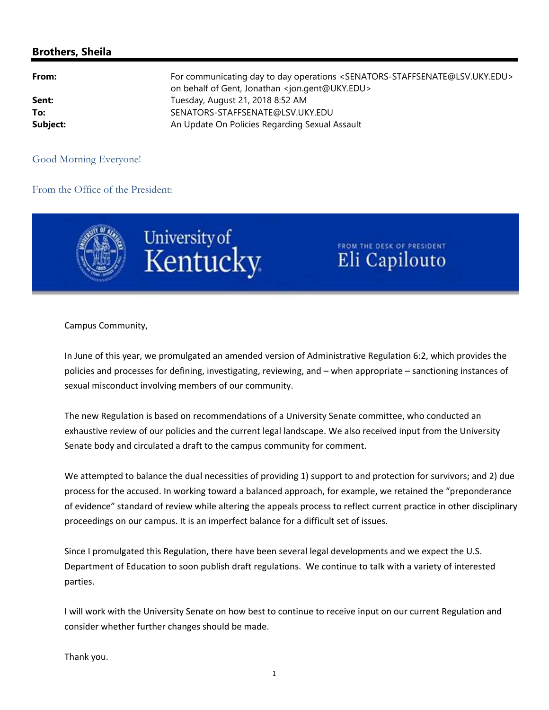## **Brothers, Sheila**

| From:    | For communicating day to day operations <senators-staffsenate@lsv.uky.edu><br/>on behalf of Gent, Jonathan <jon.gent@uky.edu></jon.gent@uky.edu></senators-staffsenate@lsv.uky.edu> |
|----------|-------------------------------------------------------------------------------------------------------------------------------------------------------------------------------------|
| Sent:    | Tuesday, August 21, 2018 8:52 AM                                                                                                                                                    |
| To:      | SENATORS-STAFFSENATE@LSV.UKY.EDU                                                                                                                                                    |
| Subject: | An Update On Policies Regarding Sexual Assault                                                                                                                                      |

## Good Morning Everyone!

## From the Office of the President:





FROM THE DESK OF PRESIDENT Eli Capilouto

Campus Community,

In June of this year, we promulgated an amended version of Administrative Regulation 6:2, which provides the policies and processes for defining, investigating, reviewing, and – when appropriate – sanctioning instances of sexual misconduct involving members of our community.

The new Regulation is based on recommendations of a University Senate committee, who conducted an exhaustive review of our policies and the current legal landscape. We also received input from the University Senate body and circulated a draft to the campus community for comment.

We attempted to balance the dual necessities of providing 1) support to and protection for survivors; and 2) due process for the accused. In working toward a balanced approach, for example, we retained the "preponderance of evidence" standard of review while altering the appeals process to reflect current practice in other disciplinary proceedings on our campus. It is an imperfect balance for a difficult set of issues.

Since I promulgated this Regulation, there have been several legal developments and we expect the U.S. Department of Education to soon publish draft regulations. We continue to talk with a variety of interested parties.

I will work with the University Senate on how best to continue to receive input on our current Regulation and consider whether further changes should be made.

Thank you.